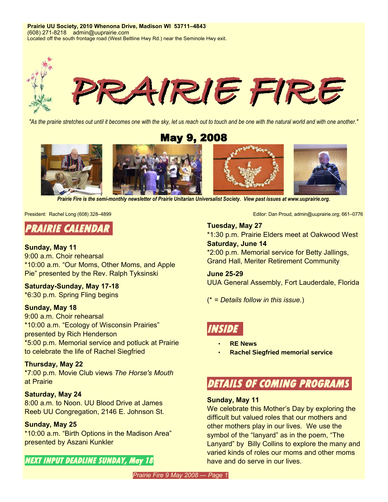**Prairie UU Society, 2010 Whenona Drive, Madison WI 53711–4843** (608) 271-8218 admin@uuprairie.com Located off the south frontage road (West Beltline Hwy Rd.) near the Seminole Hwy exit.



"As the prairie stretches out until it becomes one with the sky, let us reach out to touch and be one with the natural world and with one another."

May 9, 2008



*Prairie Fire is the semi-monthly newsletter of Prairie Unitarian Universalist Society. View past issues at [www.uuprairie.org](http://www.uuprairie.org/)[.](file:///C:/Documents and Settings/Office/My Documents/Prairie Fire newsletter/2007/2006/PF20060421/www.uuprairie.org)*

# **PRAIRIE CALENDAR**

### **Sunday, May 11**

9:00 a.m. Choir rehearsal \*10:00 a.m. "Our Moms, Other Moms, and Apple Pie" presented by the Rev. Ralph Tyksinski

**Saturday-Sunday, May 17-18** \*6:30 p.m. Spring Fling begins

# **Sunday, May 18**

9:00 a.m. Choir rehearsal \*10:00 a.m. "Ecology of Wisconsin Prairies" presented by Rich Henderson \*5:00 p.m. Memorial service and potluck at Prairie to celebrate the life of Rachel Siegfried

# **Thursday, May 22**

\*7:00 p.m. Movie Club views *The Horse's Mouth* at Prairie

# **Saturday, May 24**

8:00 a.m. to Noon. UU Blood Drive at James Reeb UU Congregation, 2146 E. Johnson St.

# **Sunday, May 25**

\*10:00 a.m. "Birth Options in the Madison Area" presented by Aszani Kunkler

# **NEXT INPUT DEADLINE SUNDAY, May 18**

President: Rachel Long (608) 328–4899 **Editor: Dan Proud, admin@uuprairie.org**; 661–0776

#### **Tuesday, May 27**

\*1:30 p.m. Prairie Elders meet at Oakwood West **Saturday, June 14**

\*2:00 p.m. Memorial service for Betty Jallings, Grand Hall, Meriter Retirement Community

**June 25-29** UUA General Assembly, Fort Lauderdale, Florida

(\* *= Details follow in this issue*.)

# **INSIDE**

- **RE News**
- **Rachel Siegfried memorial service**

# **DETAILS OF COMING PROGRAMS**

#### **Sunday, May 11**

We celebrate this Mother's Day by exploring the difficult but valued roles that our mothers and other mothers play in our lives. We use the symbol of the "lanyard" as in the poem, "The Lanyard" by Billy Collins to explore the many and varied kinds of roles our moms and other moms have and do serve in our lives.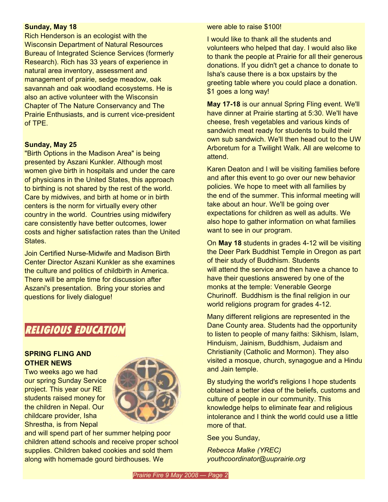#### **Sunday, May 18**

Rich Henderson is an ecologist with the Wisconsin Department of Natural Resources Bureau of Integrated Science Services (formerly Research). Rich has 33 years of experience in natural area inventory, assessment and management of prairie, sedge meadow, oak savannah and oak woodland ecosystems. He is also an active volunteer with the Wisconsin Chapter of The Nature Conservancy and The Prairie Enthusiasts, and is current vice-president of TPE.

#### **Sunday, May 25**

"Birth Options in the Madison Area" is being presented by Aszani Kunkler. Although most women give birth in hospitals and under the care of physicians in the United States, this approach to birthing is not shared by the rest of the world. Care by midwives, and birth at home or in birth centers is the norm for virtually every other country in the world. Countries using midwifery care consistently have better outcomes, lower costs and higher satisfaction rates than the United States.

Join Certified Nurse-Midwife and Madison Birth Center Director Aszani Kunkler as she examines the culture and politics of childbirth in America. There will be ample time for discussion after Aszani's presentation. Bring your stories and questions for lively dialogue!

# **RELIGIOUS EDUCATION**

#### **SPRING FLING AND OTHER NEWS**

Two weeks ago we had our spring Sunday Service project. This year our RE students raised money for the children in Nepal. Our childcare provider, Isha Shrestha, is from Nepal



and will spend part of her summer helping poor children attend schools and receive proper school supplies. Children baked cookies and sold them along with homemade gourd birdhouses. We

were able to raise \$100!

I would like to thank all the students and volunteers who helped that day. I would also like to thank the people at Prairie for all their generous donations. If you didn't get a chance to donate to Isha's cause there is a box upstairs by the greeting table where you could place a donation. \$1 goes a long way!

**May 17-18** is our annual Spring Fling event. We'll have dinner at Prairie starting at 5:30. We'll have cheese, fresh vegetables and various kinds of sandwich meat ready for students to build their own sub sandwich. We'll then head out to the UW Arboretum for a Twilight Walk. All are welcome to attend.

Karen Deaton and I will be visiting families before and after this event to go over our new behavior policies. We hope to meet with all families by the end of the summer. This informal meeting will take about an hour. We'll be going over expectations for children as well as adults. We also hope to gather information on what families want to see in our program.

On **May 18** students in grades 4-12 will be visiting the Deer Park Buddhist Temple in Oregon as part of their study of Buddhism. Students will attend the service and then have a chance to have their questions answered by one of the monks at the temple: Venerable George Churinoff. Buddhism is the final religion in our world religions program for grades 4-12.

Many different religions are represented in the Dane County area. Students had the opportunity to listen to people of many faiths: Sikhism, Islam, Hinduism, Jainism, Buddhism, Judaism and Christianity (Catholic and Mormon). They also visited a mosque, church, synagogue and a Hindu and Jain temple.

By studying the world's religions I hope students obtained a better idea of the beliefs, customs and culture of people in our community. This knowledge helps to eliminate fear and religious intolerance and I think the world could use a little more of that.

See you Sunday,

*Rebecca Malke (YREC) youthcoordinator@uuprairie.org*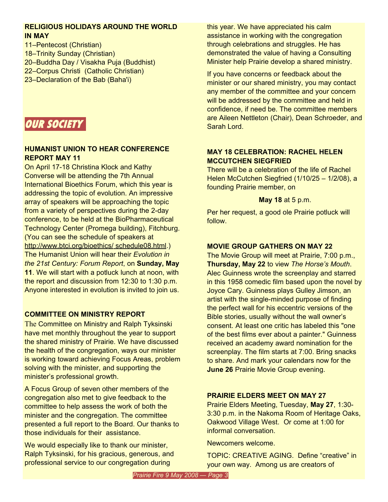# **RELIGIOUS HOLIDAYS AROUND THE WORLD IN MAY**

- 11–Pentecost (Christian)
- 18–Trinity Sunday (Christian)
- 20–Buddha Day / Visakha Puja (Buddhist)
- 22–Corpus Christi (Catholic Christian)
- 23–Declaration of the Bab (Baha'i)



# **HUMANIST UNION TO HEAR CONFERENCE REPORT MAY 11**

On April 17-18 Christina Klock and Kathy Converse will be attending the 7th Annual International Bioethics Forum, which this year is addressing the topic of evolution. An impressive array of speakers will be approaching the topic from a variety of perspectives during the 2-day conference, to be held at the BioPharmaceutical Technology Center (Promega building), Fitchburg. (You can see the schedule of speakers at http://www.btci.org/bioethics/ [schedule08.html.](http://www.btci.org/bioethics/schedule08.html)) The Humanist Union will hear their *Evolution in the 21st Century: Forum Report*, on **Sunday, May 11**. We will start with a potluck lunch at noon, with the report and discussion from 12:30 to 1:30 p.m. Anyone interested in evolution is invited to join us.

# **COMMITTEE ON MINISTRY REPORT**

The Committee on Ministry and Ralph Tyksinski have met monthly throughout the year to support the shared ministry of Prairie. We have discussed the health of the congregation, ways our minister is working toward achieving Focus Areas, problem solving with the minister, and supporting the minister's professional growth.

A Focus Group of seven other members of the congregation also met to give feedback to the committee to help assess the work of both the minister and the congregation. The committee presented a full report to the Board. Our thanks to those individuals for their assistance.

We would especially like to thank our minister, Ralph Tyksinski, for his gracious, generous, and professional service to our congregation during

this year. We have appreciated his calm assistance in working with the congregation through celebrations and struggles. He has demonstrated the value of having a Consulting Minister help Prairie develop a shared ministry.

If you have concerns or feedback about the minister or our shared ministry, you may contact any member of the committee and your concern will be addressed by the committee and held in confidence, if need be. The committee members are Aileen Nettleton (Chair), Dean Schroeder, and Sarah Lord.

# **MAY 18 CELEBRATION: RACHEL HELEN MCCUTCHEN SIEGFRIED**

There will be a celebration of the life of Rachel Helen McCutchen Siegfried (1/10/25 – 1/2/08), a founding Prairie member, on

# **May 18** at 5 p.m.

Per her request, a good ole Prairie potluck will follow.

# **MOVIE GROUP GATHERS ON MAY 22**

The Movie Group will meet at Prairie, 7:00 p.m., **Thursday, May 22** to view *The Horse's Mouth*. Alec Guinness wrote the screenplay and starred in this 1958 comedic film based upon the novel by Joyce Cary. Guinness plays Gulley Jimson, an artist with the single-minded purpose of finding the perfect wall for his eccentric versions of the Bible stories, usually without the wall owner's consent. At least one critic has labeled this "one of the best films ever about a painter." Guinness received an academy award nomination for the screenplay. The film starts at 7:00. Bring snacks to share. And mark your calendars now for the **June 26** Prairie Movie Group evening.

# **PRAIRIE ELDERS MEET ON MAY 27**

Prairie Elders Meeting, Tuesday, **May 27**, 1:30- 3:30 p.m. in the Nakoma Room of Heritage Oaks, Oakwood Village West. Or come at 1:00 for informal conversation.

Newcomers welcome.

TOPIC: CREATIVE AGING. Define "creative" in your own way. Among us are creators of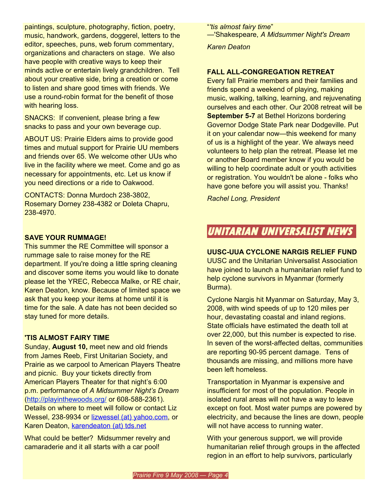paintings, sculpture, photography, fiction, poetry, music, handwork, gardens, doggerel, letters to the editor, speeches, puns, web forum commentary, organizations and characters on stage. We also have people with creative ways to keep their minds active or entertain lively grandchildren. Tell about your creative side, bring a creation or come to listen and share good times with friends. We use a round-robin format for the benefit of those with hearing loss.

SNACKS: If convenient, please bring a few snacks to pass and your own beverage cup.

ABOUT US: Prairie Elders aims to provide good times and mutual support for Prairie UU members and friends over 65. We welcome other UUs who live in the facility where we meet. Come and go as necessary for appointments, etc. Let us know if you need directions or a ride to Oakwood.

CONTACTS: Donna Murdoch 238-3802, Rosemary Dorney 238-4382 or Doleta Chapru, 238-4970.

# **SAVE YOUR RUMMAGE!**

This summer the RE Committee will sponsor a rummage sale to raise money for the RE department. If you're doing a little spring cleaning and discover some items you would like to donate please let the YREC, Rebecca Malke, or RE chair, Karen Deaton, know. Because of limited space we ask that you keep your items at home until it is time for the sale. A date has not been decided so stay tuned for more details.

# **'TIS ALMOST FAIRY TIME**

Sunday, **August 10,** meet new and old friends from James Reeb, First Unitarian Society, and Prairie as we carpool to American Players Theatre and picnic. Buy your tickets directly from American Players Theater for that night's 6:00 p.m. performance of *A Midsummer Night's Dream* (<http://playinthewoods.org/> or 608-588-2361). Details on where to meet will follow or contact Liz Wessel, 238-9934 or lizwessel (at) [yahoo.com,](mailto:lizwessel@yahoo.com) or Karen Deaton, [karendeaton](mailto:karendeaton@tds.net) (at) tds.net

What could be better? Midsummer revelry and camaraderie and it all starts with a car pool!

"*'tis almost fairy time*" —'Shakespeare, *A Midsummer Night's Dream*

*Karen Deaton*

# **FALL ALL-CONGREGATION RETREAT**

Every fall Prairie members and their families and friends spend a weekend of playing, making music, walking, talking, learning, and rejuvenating ourselves and each other. Our 2008 retreat will be **September 5-7** at Bethel Horizons bordering Governor Dodge State Park near Dodgeville. Put it on your calendar now—this weekend for many of us is a highlight of the year. We always need volunteers to help plan the retreat. Please let me or another Board member know if you would be willing to help coordinate adult or youth activities or registration. You wouldn't be alone - folks who have gone before you will assist you. Thanks!

*Rachel Long, President*

# **UNITARIAN UNIVERSALIST NEWS**

#### **UUSC-UUA CYCLONE NARGIS RELIEF FUND**

UUSC and the Unitarian Universalist Association have joined to launch a humanitarian relief fund to help cyclone survivors in Myanmar (formerly Burma).

Cyclone Nargis hit Myanmar on Saturday, May 3, 2008, with wind speeds of up to 120 miles per hour, devastating coastal and inland regions. State officials have estimated the death toll at over 22,000, but this number is expected to rise. In seven of the worst-affected deltas, communities are reporting 90-95 percent damage. Tens of thousands are missing, and millions more have been left homeless.

Transportation in Myanmar is expensive and insufficient for most of the population. People in isolated rural areas will not have a way to leave except on foot. Most water pumps are powered by electricity, and because the lines are down, people will not have access to running water.

With your generous support, we will provide humanitarian relief through groups in the affected region in an effort to help survivors, particularly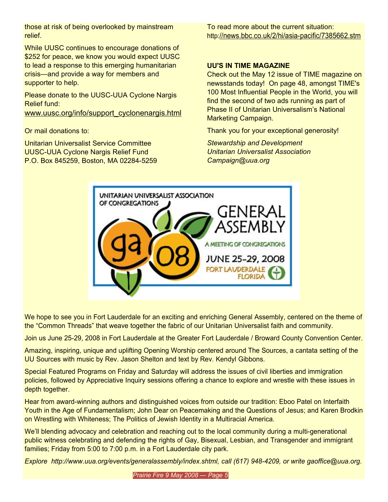those at risk of being overlooked by mainstream relief.

While UUSC continues to encourage donations of \$252 for peace, we know you would expect UUSC to lead a response to this emerging humanitarian crisis—and provide a way for members and supporter to help.

Please donate to the UUSC-UUA Cyclone Nargis Relief fund:

[www.uusc.org/info/support\\_cyclonenargis.html](http://www.uusc.org/info/support_cyclonenargis.html)

Or mail donations to:

Unitarian Universalist Service Committee UUSC-UUA Cyclone Nargis Relief Fund P.O. Box 845259, Boston, MA 02284-5259 To read more about the current situation: http:[//news.bbc.co.uk/2/hi/asia-pacific/7385662.stm](http://news.bbc.co.uk/2/hi/asia-pacific/7385662.stm)

# **UU'S IN TIME MAGAZINE**

Check out the May 12 issue of TIME magazine on newsstands today! On page 48, amongst TIME's 100 Most Influential People in the World, you will find the second of two ads running as part of Phase II of Unitarian Universalism's National Marketing Campaign.

Thank you for your exceptional generosity!

*Stewardship and Development Unitarian Universalist Association Campaign@uua.org*



We hope to see you in Fort Lauderdale for an exciting and enriching General Assembly, centered on the theme of the "Common Threads" that weave together the fabric of our Unitarian Universalist faith and community.

Join us June 25-29, 2008 in Fort Lauderdale at the Greater Fort Lauderdale / Broward County Convention Center.

Amazing, inspiring, unique and uplifting Opening Worship centered around The Sources, a cantata setting of the UU Sources with music by Rev. Jason Shelton and text by Rev. Kendyl Gibbons.

Special Featured Programs on Friday and Saturday will address the issues of civil liberties and immigration policies, followed by Appreciative Inquiry sessions offering a chance to explore and wrestle with these issues in depth together.

Hear from award-winning authors and distinguished voices from outside our tradition: Eboo Patel on Interfaith Youth in the Age of Fundamentalism; John Dear on Peacemaking and the Questions of Jesus; and Karen Brodkin on Wrestling with Whiteness; The Politics of Jewish Identity in a Multiracial America.

We'll blending advocacy and celebration and reaching out to the local community during a multi-generational public witness celebrating and defending the rights of Gay, Bisexual, Lesbian, and Transgender and immigrant families; Friday from 5:00 to 7:00 p.m. in a Fort Lauderdale city park.

*Explore http://www.uua.org/events/generalassembly/index.shtml, call (617) 948-4209, or write gaoffice@uua.org.*